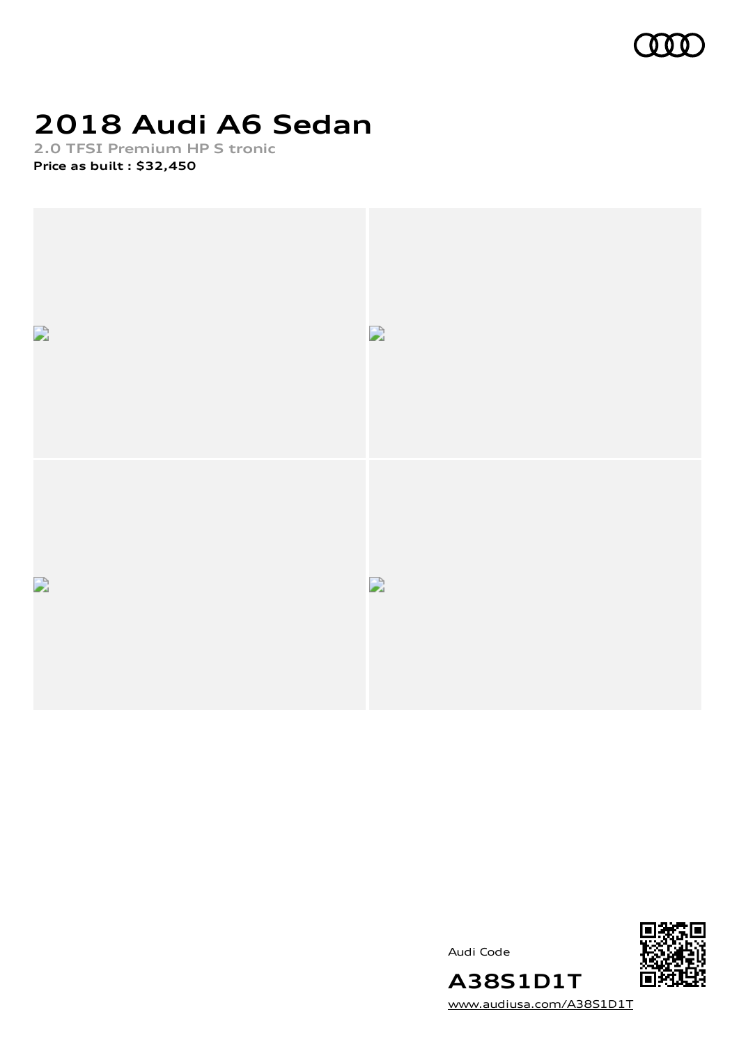

# **2018 Audi A6 Sedan**

**2.0 TFSI Premium HP S tronic Price as built [:](#page-10-0) \$32,450**



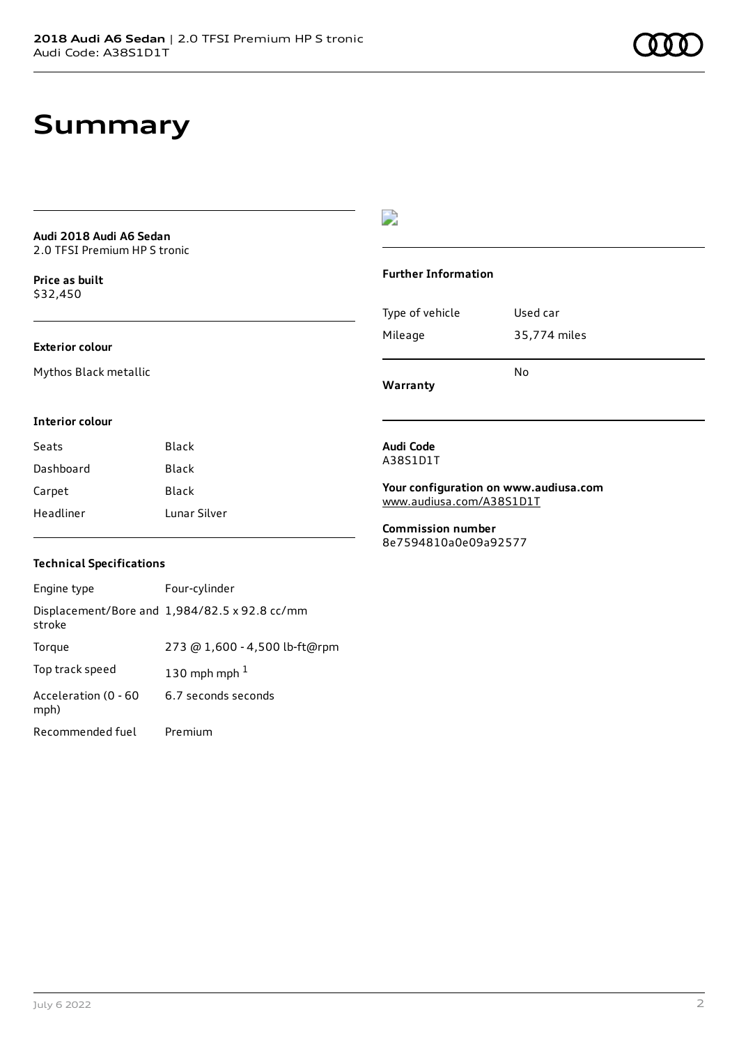# **Summary**

**Audi 2018 Audi A6 Sedan** 2.0 TFSI Premium HP S tronic

**Price as buil[t](#page-10-0)** \$32,450

#### **Exterior colour**

Mythos Black metallic

### $\overline{\phantom{a}}$

#### **Further Information**

|                 | N٥           |
|-----------------|--------------|
| Mileage         | 35,774 miles |
| Type of vehicle | Used car     |

**Warranty**

#### **Interior colour**

| Seats     | Black        |
|-----------|--------------|
| Dashboard | <b>Black</b> |
| Carpet    | Black        |
| Headliner | Lunar Silver |

### **Technical Specifications**

| Engine type                  | Four-cylinder                                 |
|------------------------------|-----------------------------------------------|
| stroke                       | Displacement/Bore and 1,984/82.5 x 92.8 cc/mm |
| Torque                       | 273 @ 1,600 - 4,500 lb-ft@rpm                 |
| Top track speed              | 130 mph mph $1$                               |
| Acceleration (0 - 60<br>mph) | 6.7 seconds seconds                           |
| Recommended fuel             | Premium                                       |

**Audi Code** A38S1D1T

**Your configuration on www.audiusa.com** [www.audiusa.com/A38S1D1T](https://www.audiusa.com/A38S1D1T)

**Commission number** 8e7594810a0e09a92577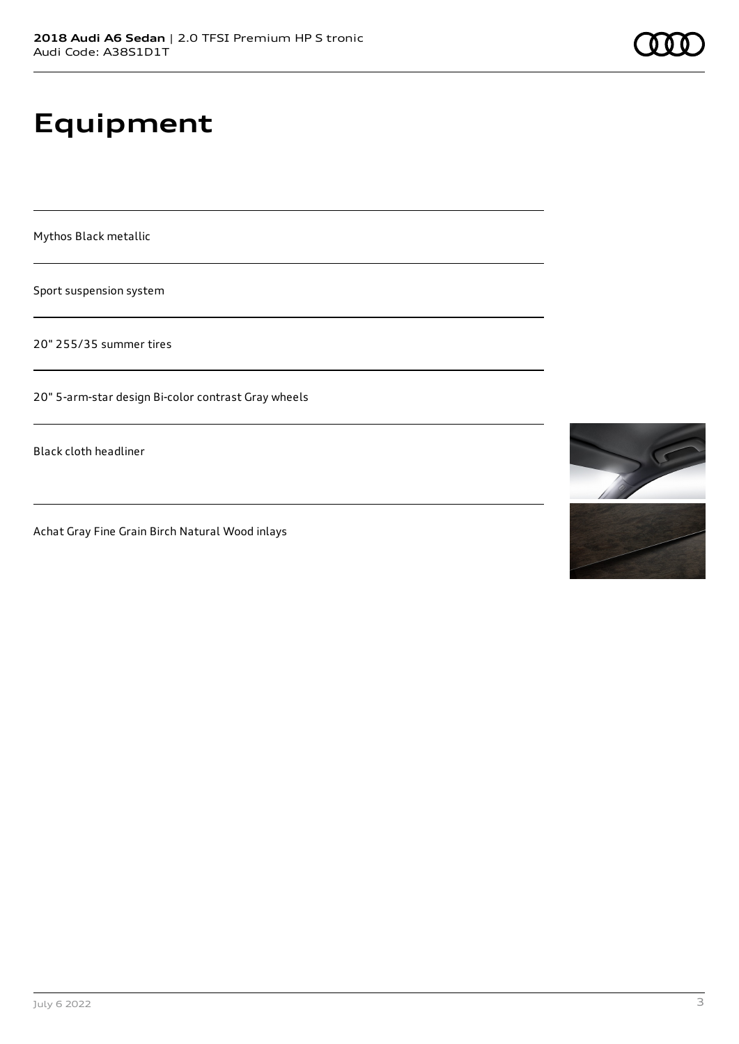# **Equipment**

Mythos Black metallic

Sport suspension system

20" 255/35 summer tires

20" 5-arm-star design Bi-color contrast Gray wheels

Black cloth headliner

Achat Gray Fine Grain Birch Natural Wood inlays

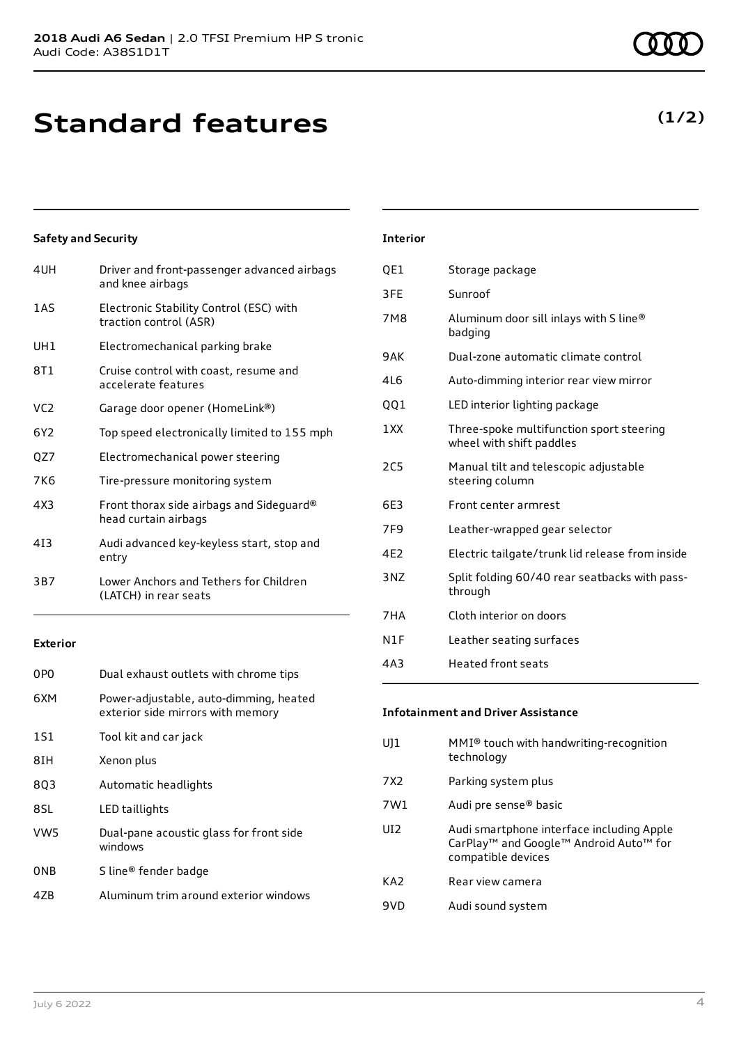# **Standard features**

### **Safety and Security**

| 4UH             | Driver and front-passenger advanced airbags<br>and knee airbags   |
|-----------------|-------------------------------------------------------------------|
| 1 A S           | Electronic Stability Control (ESC) with<br>traction control (ASR) |
| UH1             | Electromechanical parking brake                                   |
| 8T 1            | Cruise control with coast, resume and<br>accelerate features      |
| VC <sub>2</sub> | Garage door opener (HomeLink®)                                    |
| 6Y2             | Top speed electronically limited to 155 mph                       |
| QZ7             | Electromechanical power steering                                  |
| 7K6             | Tire-pressure monitoring system                                   |
| 4X3             | Front thorax side airbags and Sideguard®<br>head curtain airbags  |
| 413             | Audi advanced key-keyless start, stop and<br>entry                |
| 3B7             | Lower Anchors and Tethers for Children<br>(LATCH) in rear seats   |

### **Exterior**

| 0PO | Dual exhaust outlets with chrome tips                                       |
|-----|-----------------------------------------------------------------------------|
| 6XM | Power-adjustable, auto-dimming, heated<br>exterior side mirrors with memory |
| 1S1 | Tool kit and car jack                                                       |
| 8IH | Xenon plus                                                                  |
| 803 | Automatic headlights                                                        |
| 8SL | LED taillights                                                              |
| VW5 | Dual-pane acoustic glass for front side<br>windows                          |
| ONB | S line <sup>®</sup> fender badge                                            |
| 47R | Aluminum trim around exterior windows                                       |
|     |                                                                             |

### QE1 Storage package 3FE Sunroof 7M8 Aluminum door sill inlays with S line® 9AK Dual-zone automatic climate control 4L6 Auto-dimming interior rear view mirror

**Interior**

- QQ1 LED interior lighting package
- 1XX Three-spoke multifunction sport steering wheel with shift paddles
- 2C5 Manual tilt and telescopic adjustable steering column
- 6E3 Front center armrest

badging

- 7F9 Leather-wrapped gear selector
- 4E2 Electric tailgate/trunk lid release from inside
- 3NZ Split folding 60/40 rear seatbacks with passthrough
- 7HA Cloth interior on doors
- N1F Leather seating surfaces
- 4A3 Heated front seats

#### **Infotainment and Driver Assistance**

- UJ1 MMI® touch with handwriting-recognition technology
- 7X2 Parking system plus
- 7W1 Audi pre sense® basic
- UI2 Audi smartphone interface including Apple CarPlay™ and Google™ Android Auto™ for compatible devices
- KA2 Rear view camera
- 9VD Audi sound system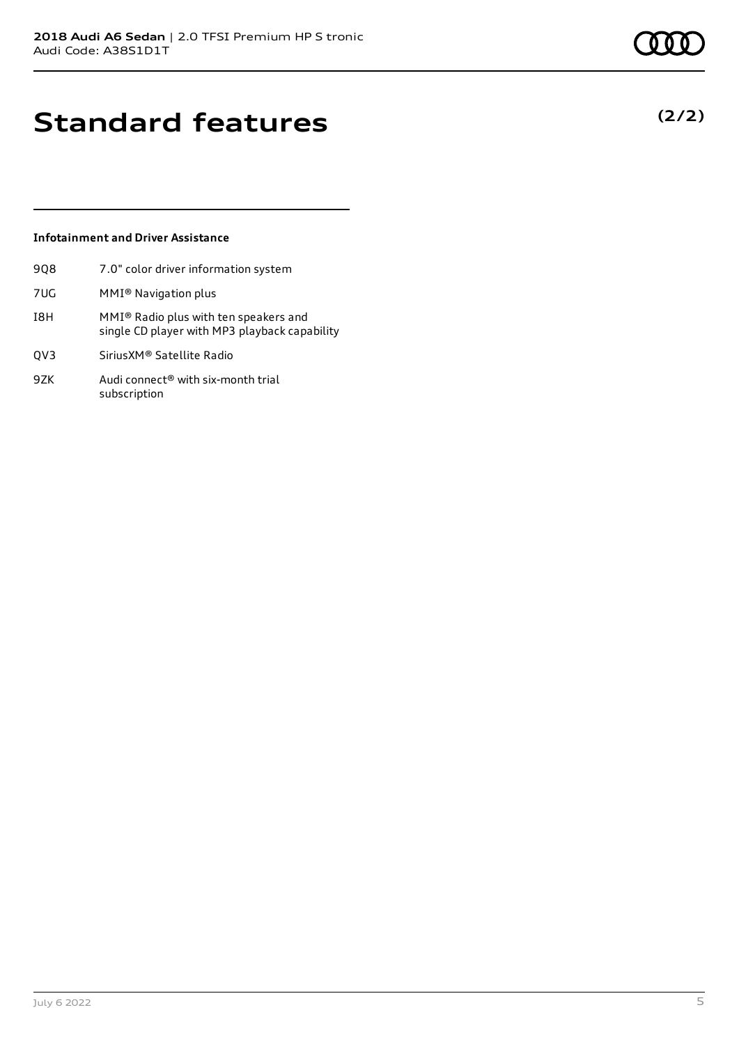# **Standard features**

#### **Infotainment and Driver Assistance**

- 9Q8 7.0" color driver information system
- 7UG MMI® Navigation plus
- I8H MMI® Radio plus with ten speakers and single CD player with MP3 playback capability
- QV3 SiriusXM® Satellite Radio
- 9ZK Audi connect<sup>®</sup> with six-month trial subscription

### **(2/2)**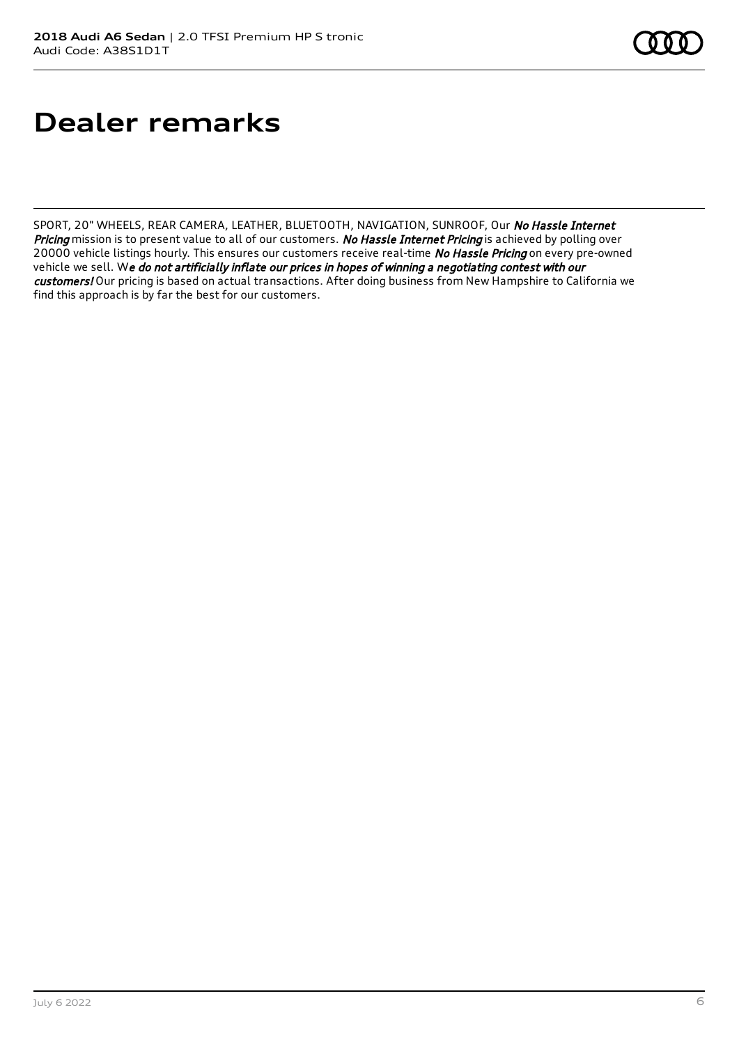# **Dealer remarks**

SPORT, 20" WHEELS, REAR CAMERA, LEATHER, BLUETOOTH, NAVIGATION, SUNROOF, Our No Hassle Internet Pricing mission is to present value to all of our customers. No Hassle Internet Pricing is achieved by polling over 20000 vehicle listings hourly. This ensures our customers receive real-time No Hassle Pricing on every pre-owned vehicle we sell. We do not artificially inflate our prices in hopes of winning a negotiating contest with our customers! Our pricing is based on actual transactions. After doing business from New Hampshire to California we find this approach is by far the best for our customers.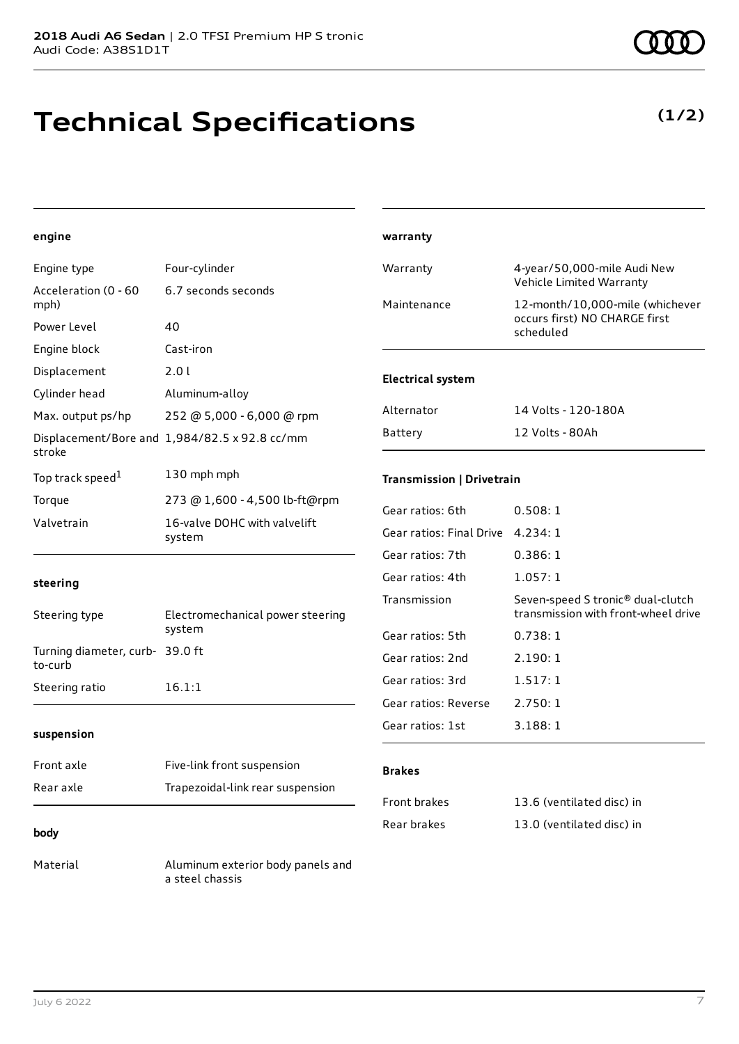# **Technical Specifications**

### **(1/2)**

#### **engine**

| Engine type                  | Four-cylinder                                 |
|------------------------------|-----------------------------------------------|
| Acceleration (0 - 60<br>mph) | 6.7 seconds seconds                           |
| Power Level                  | 40                                            |
| Engine block                 | Cast-iron                                     |
| Displacement                 | 2.0 L                                         |
| Cylinder head                | Aluminum-alloy                                |
| Max. output ps/hp            | 252 @ 5,000 - 6,000 @ rpm                     |
| stroke                       | Displacement/Bore and 1,984/82.5 x 92.8 cc/mm |
| Top track speed <sup>1</sup> | 130 mph mph                                   |
| Torque                       | 273 @ 1,600 - 4,500 lb-ft@rpm                 |
| Valvetrain                   | 16-valve DOHC with valvelift<br>system        |
|                              |                                               |

| warranty                  |                                                                                      |
|---------------------------|--------------------------------------------------------------------------------------|
| Warranty                  | 4-year/50,000-mile Audi New<br>Vehicle Limited Warranty                              |
| Maintenance               | 12-month/10,000-mile (whichever<br>occurs first) NO CHARGE first<br>scheduled        |
| Electrical system         |                                                                                      |
| Alternator                | 14 Volts - 120-180A                                                                  |
| Battery                   | 12 Volts - 80Ah                                                                      |
| Transmission   Drivetrain |                                                                                      |
| Gear ratios: 6th          | 0.508:1                                                                              |
| Gear ratios: Final Drive  | 4.234:1                                                                              |
| Gear ratios: 7th          | 0.386:1                                                                              |
|                           |                                                                                      |
| Gear ratios: 4th          | 1.057:1                                                                              |
| Transmission              | Seven-speed S tronic <sup>®</sup> dual-clutch<br>transmission with front-wheel drive |
| Gear ratios: 5th          | 0.738:1                                                                              |

#### **steering**

| Steering type                              | Electromechanical power steering<br>system |
|--------------------------------------------|--------------------------------------------|
| Turning diameter, curb- 39.0 ft<br>to-curb |                                            |
| Steering ratio                             | 16.1:1                                     |

#### **suspension**

| hody       |                                  |
|------------|----------------------------------|
| Rear axle  | Trapezoidal-link rear suspension |
| Front axle | Five-link front suspension       |

#### **body**

Material Material Aluminum exterior body panels and a steel chassis

### **Brakes**

| Front brakes | 13.6 (ventilated disc) in |
|--------------|---------------------------|
| Rear brakes  | 13.0 (ventilated disc) in |

Gear ratios: 3rd 1.517: 1 Gear ratios: Reverse 2.750: 1 Gear ratios: 1st 3.188: 1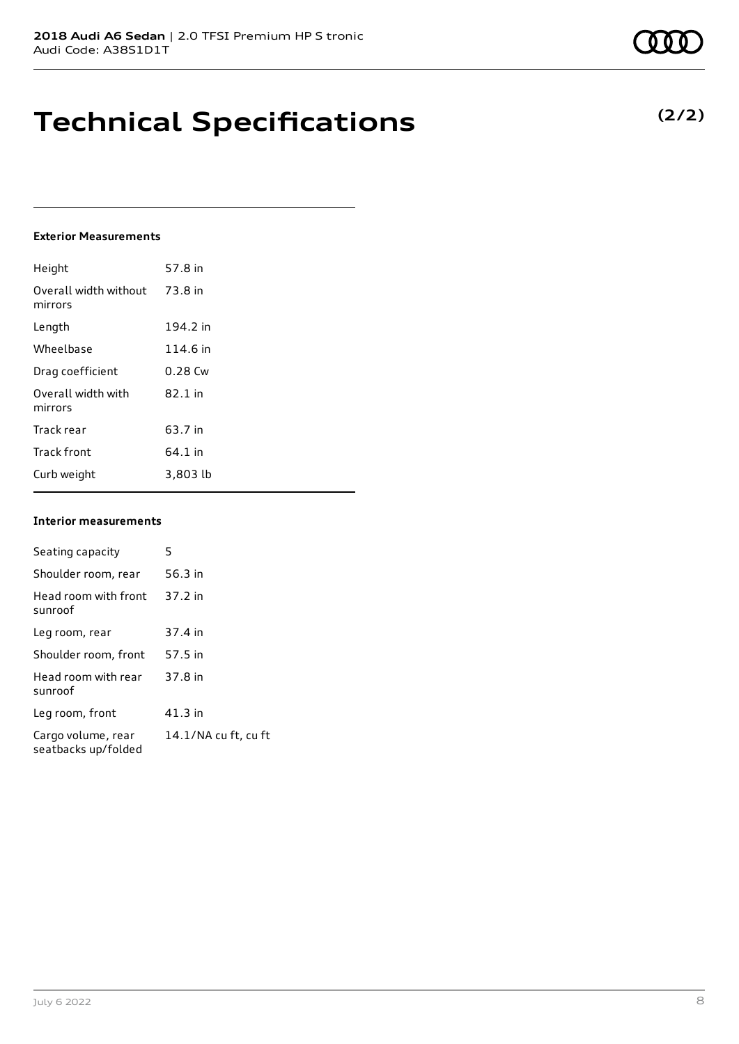# **Technical Specifications**

#### **Exterior Measurements**

| Height                           | 57.8 in   |
|----------------------------------|-----------|
| Overall width without<br>mirrors | 73.8 in   |
| Length                           | 194.2 in  |
| Wheelbase                        | 114.6 in  |
| Drag coefficient                 | $0.28$ Cw |
| Overall width with<br>mirrors    | $82.1$ in |
| Track rear                       | 63.7 in   |
| <b>Track front</b>               | 64.1 in   |
| Curb weight                      | 3,803 lb  |

#### **Interior measurements**

| Seating capacity                          | 5                    |
|-------------------------------------------|----------------------|
| Shoulder room, rear                       | 56.3 in              |
| Head room with front<br>sunroof           | 37.2 in              |
| Leg room, rear                            | 37.4 in              |
| Shoulder room, front                      | 57.5 in              |
| Head room with rear<br>sunroof            | 37.8 in              |
| Leg room, front                           | 41.3 in              |
| Cargo volume, rear<br>seatbacks up/folded | 14.1/NA cu ft, cu ft |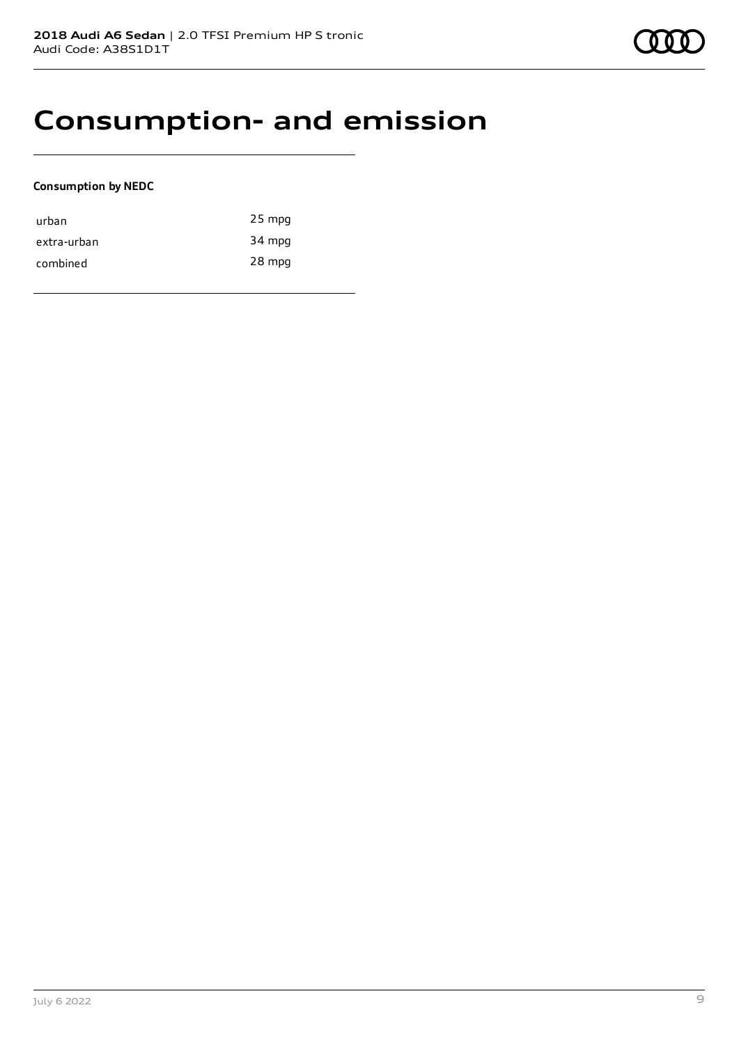## **Consumption- and emission**

#### **Consumption by NEDC**

| urban       | $25$ mpg |
|-------------|----------|
| extra-urban | 34 mpg   |
| combined    | 28 mpg   |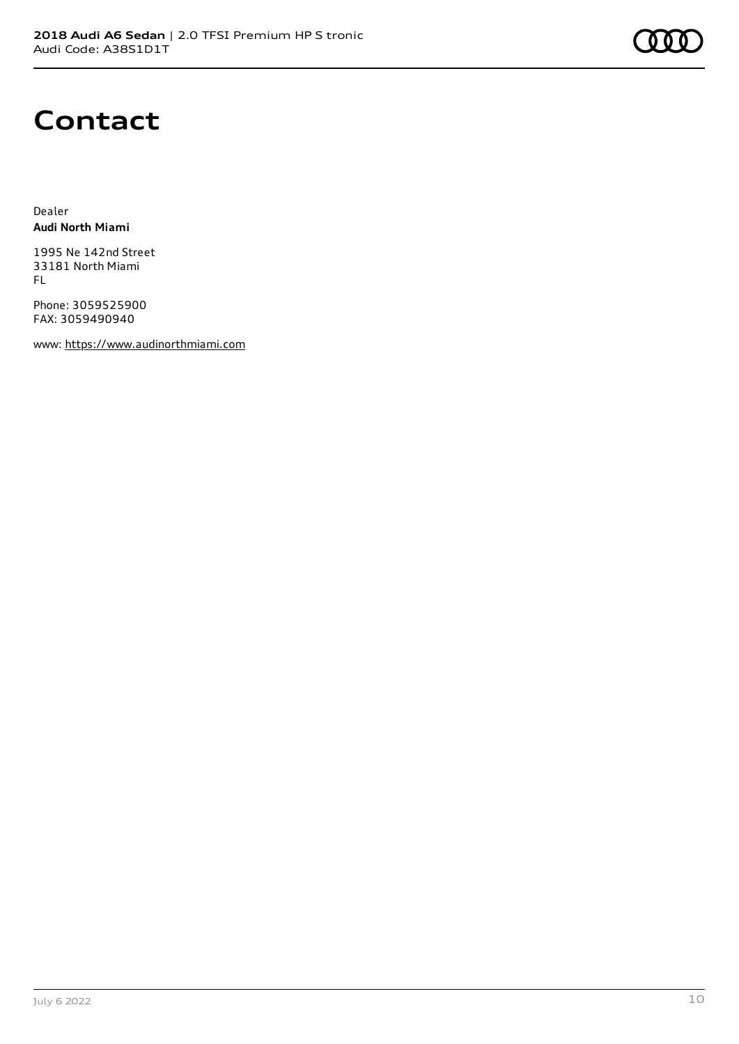## **Contact**

Dealer **Audi North Miami**

1995 Ne 142nd Street 33181 North Miami FL

Phone: 3059525900 FAX: 3059490940

www: [https://www.audinorthmiami.com](https://www.audinorthmiami.com/)